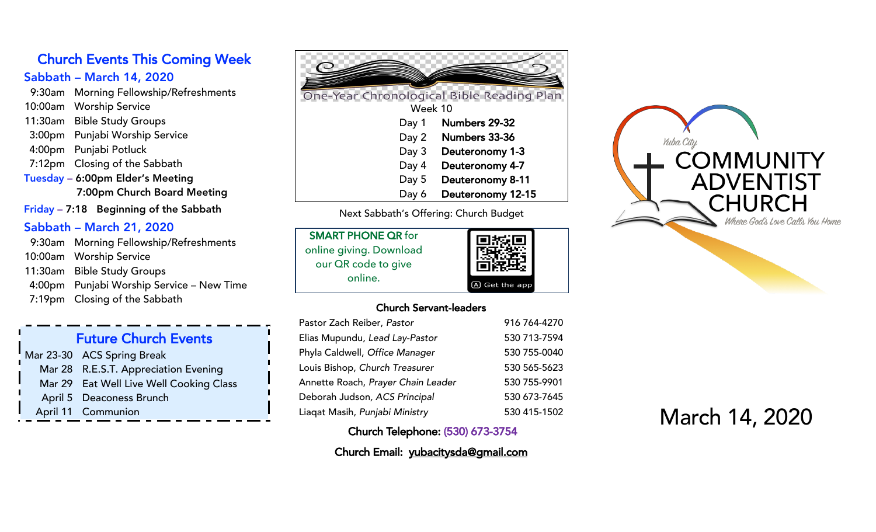# Church Events This Coming Week

# Sabbath – March 14, 2020

- 9:30am Morning Fellowship/Refreshments
- 10:00am Worship Service
- 11:30am Bible Study Groups
- 3:00pm Punjabi Worship Service
- 4:00pm Punjabi Potluck
- 7:12pm Closing of the Sabbath
- Tuesday 6:00pm Elder's Meeting 7:00pm Church Board Meeting
- Friday 7:1 8 Beginning of the Sabbath

# Sabbath – March 21, 2020

9:30am Morning Fellowship/Refreshments 10:00am Worship Service 11:30am Bible Study Groups 4:00pm Punjabi Worship Service – New Time 7:1 9pm Closing of the Sabbath

# Future Church Events Mar 23 -30 ACS Spring Break Mar 28 R.E.S.T. Appreciation Evening Mar 29 Eat Well Live Well Cooking Class April 5 Deaconess Brunch April 11 Communion



Next Sabbath's Offering : Church Budget

| <b>SMART PHONE QR for</b> | 回族国          |
|---------------------------|--------------|
| online giving. Download   |              |
| our QR code to give       |              |
| online.                   | A Get the ap |

#### Church Servant-leaders

app

| Pastor Zach Reiber, Pastor         | 916 764-4270 |
|------------------------------------|--------------|
| Elias Mupundu, Lead Lay-Pastor     | 530 713-7594 |
| Phyla Caldwell, Office Manager     | 530 755-0040 |
| Louis Bishop, Church Treasurer     | 530 565-5623 |
| Annette Roach, Prayer Chain Leader | 530 755-9901 |
| Deborah Judson, ACS Principal      | 530 673-7645 |
| Liaqat Masih, Punjabi Ministry     | 530 415-1502 |

Church Telephone: (530) 673-3754

Church Email: yubacitysda@gmail.com



# March 14 , 2020